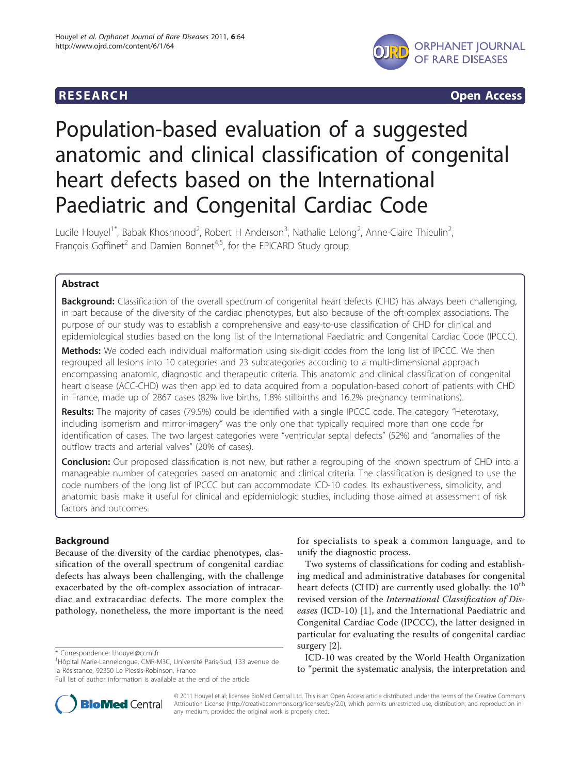## **RESEARCH CONSTRUCTION CONTROL**



# Population-based evaluation of a suggested anatomic and clinical classification of congenital heart defects based on the International Paediatric and Congenital Cardiac Code

Lucile Houyel<sup>1\*</sup>, Babak Khoshnood<sup>2</sup>, Robert H Anderson<sup>3</sup>, Nathalie Lelong<sup>2</sup>, Anne-Claire Thieulin<sup>2</sup> , François Goffinet<sup>2</sup> and Damien Bonnet<sup>4,5</sup>, for the EPICARD Study group

## Abstract

Background: Classification of the overall spectrum of congenital heart defects (CHD) has always been challenging, in part because of the diversity of the cardiac phenotypes, but also because of the oft-complex associations. The purpose of our study was to establish a comprehensive and easy-to-use classification of CHD for clinical and epidemiological studies based on the long list of the International Paediatric and Congenital Cardiac Code (IPCCC).

Methods: We coded each individual malformation using six-digit codes from the long list of IPCCC. We then regrouped all lesions into 10 categories and 23 subcategories according to a multi-dimensional approach encompassing anatomic, diagnostic and therapeutic criteria. This anatomic and clinical classification of congenital heart disease (ACC-CHD) was then applied to data acquired from a population-based cohort of patients with CHD in France, made up of 2867 cases (82% live births, 1.8% stillbirths and 16.2% pregnancy terminations).

Results: The majority of cases (79.5%) could be identified with a single IPCCC code. The category "Heterotaxy, including isomerism and mirror-imagery" was the only one that typically required more than one code for identification of cases. The two largest categories were "ventricular septal defects" (52%) and "anomalies of the outflow tracts and arterial valves" (20% of cases).

Conclusion: Our proposed classification is not new, but rather a regrouping of the known spectrum of CHD into a manageable number of categories based on anatomic and clinical criteria. The classification is designed to use the code numbers of the long list of IPCCC but can accommodate ICD-10 codes. Its exhaustiveness, simplicity, and anatomic basis make it useful for clinical and epidemiologic studies, including those aimed at assessment of risk factors and outcomes.

## Background

Because of the diversity of the cardiac phenotypes, classification of the overall spectrum of congenital cardiac defects has always been challenging, with the challenge exacerbated by the oft-complex association of intracardiac and extracardiac defects. The more complex the pathology, nonetheless, the more important is the need



Two systems of classifications for coding and establishing medical and administrative databases for congenital heart defects (CHD) are currently used globally: the 10<sup>th</sup> revised version of the International Classification of Diseases (ICD-10) [[1\]](#page-8-0), and the International Paediatric and Congenital Cardiac Code (IPCCC), the latter designed in particular for evaluating the results of congenital cardiac surgery [\[2](#page-8-0)].

ICD-10 was created by the World Health Organization to "permit the systematic analysis, the interpretation and



© 2011 Houyel et al; licensee BioMed Central Ltd. This is an Open Access article distributed under the terms of the Creative Commons Attribution License [\(http://creativecommons.org/licenses/by/2.0](http://creativecommons.org/licenses/by/2.0)), which permits unrestricted use, distribution, and reproduction in any medium, provided the original work is properly cited.

<sup>\*</sup> Correspondence: [l.houyel@ccml.fr](mailto:l.houyel@ccml.fr)

<sup>&</sup>lt;sup>1</sup>Hôpital Marie-Lannelongue, CMR-M3C, Université Paris-Sud, 133 avenue de la Résistance, 92350 Le Plessis-Robinson, France

Full list of author information is available at the end of the article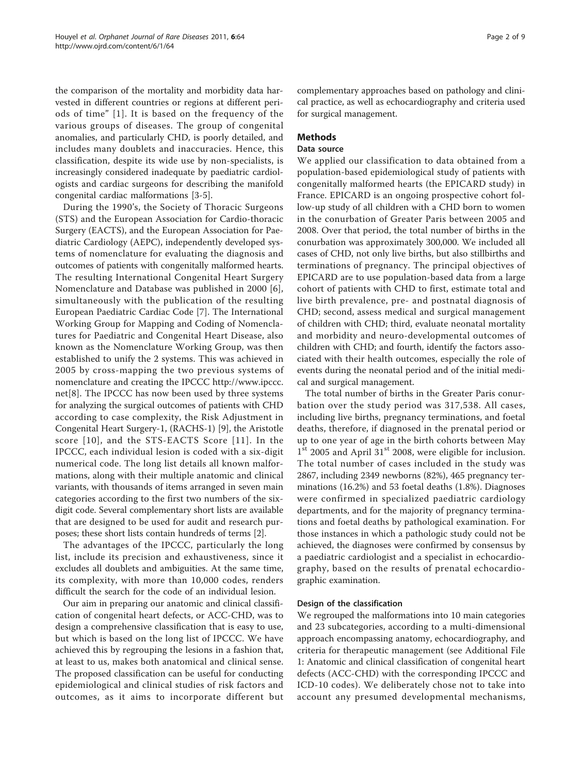the comparison of the mortality and morbidity data harvested in different countries or regions at different periods of time" [[1](#page-8-0)]. It is based on the frequency of the various groups of diseases. The group of congenital anomalies, and particularly CHD, is poorly detailed, and includes many doublets and inaccuracies. Hence, this classification, despite its wide use by non-specialists, is increasingly considered inadequate by paediatric cardiologists and cardiac surgeons for describing the manifold congenital cardiac malformations [\[3](#page-8-0)-[5\]](#page-8-0).

During the 1990's, the Society of Thoracic Surgeons (STS) and the European Association for Cardio-thoracic Surgery (EACTS), and the European Association for Paediatric Cardiology (AEPC), independently developed systems of nomenclature for evaluating the diagnosis and outcomes of patients with congenitally malformed hearts. The resulting International Congenital Heart Surgery Nomenclature and Database was published in 2000 [[6](#page-8-0)], simultaneously with the publication of the resulting European Paediatric Cardiac Code [[7\]](#page-8-0). The International Working Group for Mapping and Coding of Nomenclatures for Paediatric and Congenital Heart Disease, also known as the Nomenclature Working Group, was then established to unify the 2 systems. This was achieved in 2005 by cross-mapping the two previous systems of nomenclature and creating the IPCCC [http://www.ipccc.](http://www.ipccc.net) [net](http://www.ipccc.net)[\[8](#page-8-0)]. The IPCCC has now been used by three systems for analyzing the surgical outcomes of patients with CHD according to case complexity, the Risk Adjustment in Congenital Heart Surgery-1, (RACHS-1) [[9\]](#page-8-0), the Aristotle score [[10](#page-8-0)], and the STS-EACTS Score [[11](#page-8-0)]. In the IPCCC, each individual lesion is coded with a six-digit numerical code. The long list details all known malformations, along with their multiple anatomic and clinical variants, with thousands of items arranged in seven main categories according to the first two numbers of the sixdigit code. Several complementary short lists are available that are designed to be used for audit and research purposes; these short lists contain hundreds of terms [\[2\]](#page-8-0).

The advantages of the IPCCC, particularly the long list, include its precision and exhaustiveness, since it excludes all doublets and ambiguities. At the same time, its complexity, with more than 10,000 codes, renders difficult the search for the code of an individual lesion.

Our aim in preparing our anatomic and clinical classification of congenital heart defects, or ACC-CHD, was to design a comprehensive classification that is easy to use, but which is based on the long list of IPCCC. We have achieved this by regrouping the lesions in a fashion that, at least to us, makes both anatomical and clinical sense. The proposed classification can be useful for conducting epidemiological and clinical studies of risk factors and outcomes, as it aims to incorporate different but complementary approaches based on pathology and clinical practice, as well as echocardiography and criteria used for surgical management.

## Methods

## Data source

We applied our classification to data obtained from a population-based epidemiological study of patients with congenitally malformed hearts (the EPICARD study) in France. EPICARD is an ongoing prospective cohort follow-up study of all children with a CHD born to women in the conurbation of Greater Paris between 2005 and 2008. Over that period, the total number of births in the conurbation was approximately 300,000. We included all cases of CHD, not only live births, but also stillbirths and terminations of pregnancy. The principal objectives of EPICARD are to use population-based data from a large cohort of patients with CHD to first, estimate total and live birth prevalence, pre- and postnatal diagnosis of CHD; second, assess medical and surgical management of children with CHD; third, evaluate neonatal mortality and morbidity and neuro-developmental outcomes of children with CHD; and fourth, identify the factors associated with their health outcomes, especially the role of events during the neonatal period and of the initial medical and surgical management.

The total number of births in the Greater Paris conurbation over the study period was 317,538. All cases, including live births, pregnancy terminations, and foetal deaths, therefore, if diagnosed in the prenatal period or up to one year of age in the birth cohorts between May  $1<sup>st</sup>$  2005 and April 31<sup>st</sup> 2008, were eligible for inclusion. The total number of cases included in the study was 2867, including 2349 newborns (82%), 465 pregnancy terminations (16.2%) and 53 foetal deaths (1.8%). Diagnoses were confirmed in specialized paediatric cardiology departments, and for the majority of pregnancy terminations and foetal deaths by pathological examination. For those instances in which a pathologic study could not be achieved, the diagnoses were confirmed by consensus by a paediatric cardiologist and a specialist in echocardiography, based on the results of prenatal echocardiographic examination.

## Design of the classification

We regrouped the malformations into 10 main categories and 23 subcategories, according to a multi-dimensional approach encompassing anatomy, echocardiography, and criteria for therapeutic management (see Additional File [1:](#page-7-0) Anatomic and clinical classification of congenital heart defects (ACC-CHD) with the corresponding IPCCC and ICD-10 codes). We deliberately chose not to take into account any presumed developmental mechanisms,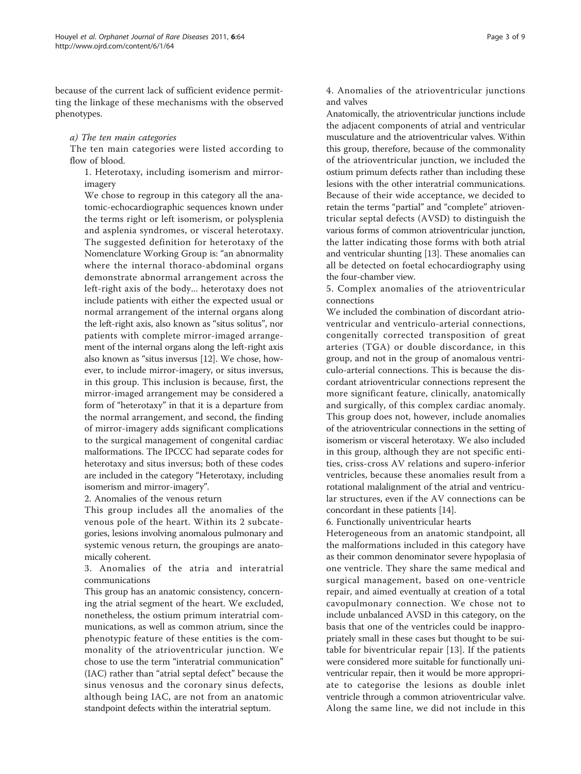because of the current lack of sufficient evidence permitting the linkage of these mechanisms with the observed phenotypes.

#### a) The ten main categories

The ten main categories were listed according to flow of blood.

1. Heterotaxy, including isomerism and mirrorimagery

We chose to regroup in this category all the anatomic-echocardiographic sequences known under the terms right or left isomerism, or polysplenia and asplenia syndromes, or visceral heterotaxy. The suggested definition for heterotaxy of the Nomenclature Working Group is: "an abnormality where the internal thoraco-abdominal organs demonstrate abnormal arrangement across the left-right axis of the body... heterotaxy does not include patients with either the expected usual or normal arrangement of the internal organs along the left-right axis, also known as "situs solitus", nor patients with complete mirror-imaged arrangement of the internal organs along the left-right axis also known as "situs inversus [\[12\]](#page-8-0). We chose, however, to include mirror-imagery, or situs inversus, in this group. This inclusion is because, first, the mirror-imaged arrangement may be considered a form of "heterotaxy" in that it is a departure from the normal arrangement, and second, the finding of mirror-imagery adds significant complications to the surgical management of congenital cardiac malformations. The IPCCC had separate codes for heterotaxy and situs inversus; both of these codes are included in the category "Heterotaxy, including isomerism and mirror-imagery".

2. Anomalies of the venous return

This group includes all the anomalies of the venous pole of the heart. Within its 2 subcategories, lesions involving anomalous pulmonary and systemic venous return, the groupings are anatomically coherent.

3. Anomalies of the atria and interatrial communications

This group has an anatomic consistency, concerning the atrial segment of the heart. We excluded, nonetheless, the ostium primum interatrial communications, as well as common atrium, since the phenotypic feature of these entities is the commonality of the atrioventricular junction. We chose to use the term "interatrial communication" (IAC) rather than "atrial septal defect" because the sinus venosus and the coronary sinus defects, although being IAC, are not from an anatomic standpoint defects within the interatrial septum.

4. Anomalies of the atrioventricular junctions and valves

Anatomically, the atrioventricular junctions include the adjacent components of atrial and ventricular musculature and the atrioventricular valves. Within this group, therefore, because of the commonality of the atrioventricular junction, we included the ostium primum defects rather than including these lesions with the other interatrial communications. Because of their wide acceptance, we decided to retain the terms "partial" and "complete" atrioventricular septal defects (AVSD) to distinguish the various forms of common atrioventricular junction, the latter indicating those forms with both atrial and ventricular shunting [\[13\]](#page-8-0). These anomalies can all be detected on foetal echocardiography using the four-chamber view.

5. Complex anomalies of the atrioventricular connections

We included the combination of discordant atrioventricular and ventriculo-arterial connections, congenitally corrected transposition of great arteries (TGA) or double discordance, in this group, and not in the group of anomalous ventriculo-arterial connections. This is because the discordant atrioventricular connections represent the more significant feature, clinically, anatomically and surgically, of this complex cardiac anomaly. This group does not, however, include anomalies of the atrioventricular connections in the setting of isomerism or visceral heterotaxy. We also included in this group, although they are not specific entities, criss-cross AV relations and supero-inferior ventricles, because these anomalies result from a rotational malalignment of the atrial and ventricular structures, even if the AV connections can be concordant in these patients [\[14\]](#page-8-0).

6. Functionally univentricular hearts

Heterogeneous from an anatomic standpoint, all the malformations included in this category have as their common denominator severe hypoplasia of one ventricle. They share the same medical and surgical management, based on one-ventricle repair, and aimed eventually at creation of a total cavopulmonary connection. We chose not to include unbalanced AVSD in this category, on the basis that one of the ventricles could be inappropriately small in these cases but thought to be suitable for biventricular repair [[13](#page-8-0)]. If the patients were considered more suitable for functionally univentricular repair, then it would be more appropriate to categorise the lesions as double inlet ventricle through a common atrioventricular valve. Along the same line, we did not include in this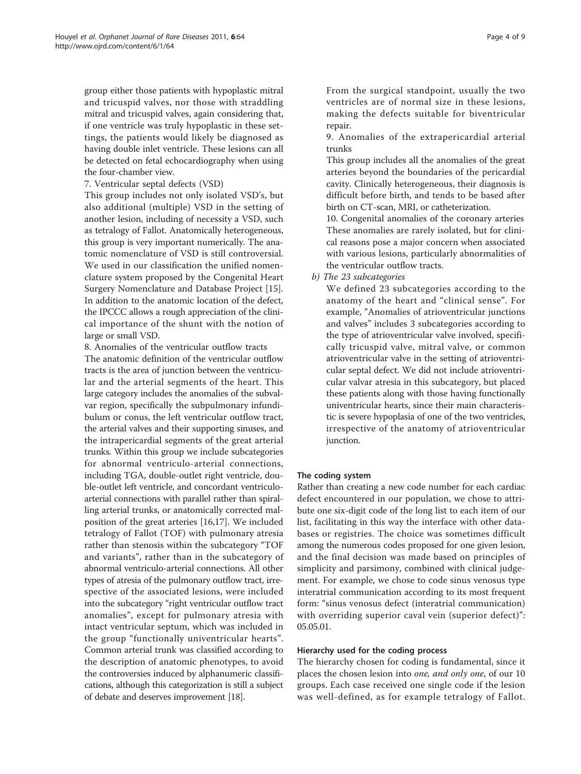group either those patients with hypoplastic mitral and tricuspid valves, nor those with straddling mitral and tricuspid valves, again considering that, if one ventricle was truly hypoplastic in these settings, the patients would likely be diagnosed as having double inlet ventricle. These lesions can all be detected on fetal echocardiography when using the four-chamber view.

7. Ventricular septal defects (VSD)

This group includes not only isolated VSD's, but also additional (multiple) VSD in the setting of another lesion, including of necessity a VSD, such as tetralogy of Fallot. Anatomically heterogeneous, this group is very important numerically. The anatomic nomenclature of VSD is still controversial. We used in our classification the unified nomenclature system proposed by the Congenital Heart Surgery Nomenclature and Database Project [\[15](#page-8-0)]. In addition to the anatomic location of the defect, the IPCCC allows a rough appreciation of the clinical importance of the shunt with the notion of large or small VSD.

8. Anomalies of the ventricular outflow tracts The anatomic definition of the ventricular outflow tracts is the area of junction between the ventricular and the arterial segments of the heart. This large category includes the anomalies of the subvalvar region, specifically the subpulmonary infundibulum or conus, the left ventricular outflow tract, the arterial valves and their supporting sinuses, and the intrapericardial segments of the great arterial trunks. Within this group we include subcategories for abnormal ventriculo-arterial connections, including TGA, double-outlet right ventricle, double-outlet left ventricle, and concordant ventriculoarterial connections with parallel rather than spiralling arterial trunks, or anatomically corrected malposition of the great arteries [\[16,17](#page-8-0)]. We included tetralogy of Fallot (TOF) with pulmonary atresia rather than stenosis within the subcategory "TOF and variants", rather than in the subcategory of abnormal ventriculo-arterial connections. All other types of atresia of the pulmonary outflow tract, irrespective of the associated lesions, were included into the subcategory "right ventricular outflow tract anomalies", except for pulmonary atresia with intact ventricular septum, which was included in the group "functionally univentricular hearts". Common arterial trunk was classified according to the description of anatomic phenotypes, to avoid the controversies induced by alphanumeric classifications, although this categorization is still a subject of debate and deserves improvement [[18](#page-8-0)].

From the surgical standpoint, usually the two ventricles are of normal size in these lesions, making the defects suitable for biventricular repair.

9. Anomalies of the extrapericardial arterial trunks

This group includes all the anomalies of the great arteries beyond the boundaries of the pericardial cavity. Clinically heterogeneous, their diagnosis is difficult before birth, and tends to be based after birth on CT-scan, MRI, or catheterization.

10. Congenital anomalies of the coronary arteries These anomalies are rarely isolated, but for clinical reasons pose a major concern when associated with various lesions, particularly abnormalities of the ventricular outflow tracts.

b) The 23 subcategories

We defined 23 subcategories according to the anatomy of the heart and "clinical sense". For example, "Anomalies of atrioventricular junctions and valves" includes 3 subcategories according to the type of atrioventricular valve involved, specifically tricuspid valve, mitral valve, or common atrioventricular valve in the setting of atrioventricular septal defect. We did not include atrioventricular valvar atresia in this subcategory, but placed these patients along with those having functionally univentricular hearts, since their main characteristic is severe hypoplasia of one of the two ventricles, irrespective of the anatomy of atrioventricular junction.

## The coding system

Rather than creating a new code number for each cardiac defect encountered in our population, we chose to attribute one six-digit code of the long list to each item of our list, facilitating in this way the interface with other databases or registries. The choice was sometimes difficult among the numerous codes proposed for one given lesion, and the final decision was made based on principles of simplicity and parsimony, combined with clinical judgement. For example, we chose to code sinus venosus type interatrial communication according to its most frequent form: "sinus venosus defect (interatrial communication) with overriding superior caval vein (superior defect)": 05.05.01.

## Hierarchy used for the coding process

The hierarchy chosen for coding is fundamental, since it places the chosen lesion into one, and only one, of our 10 groups. Each case received one single code if the lesion was well-defined, as for example tetralogy of Fallot.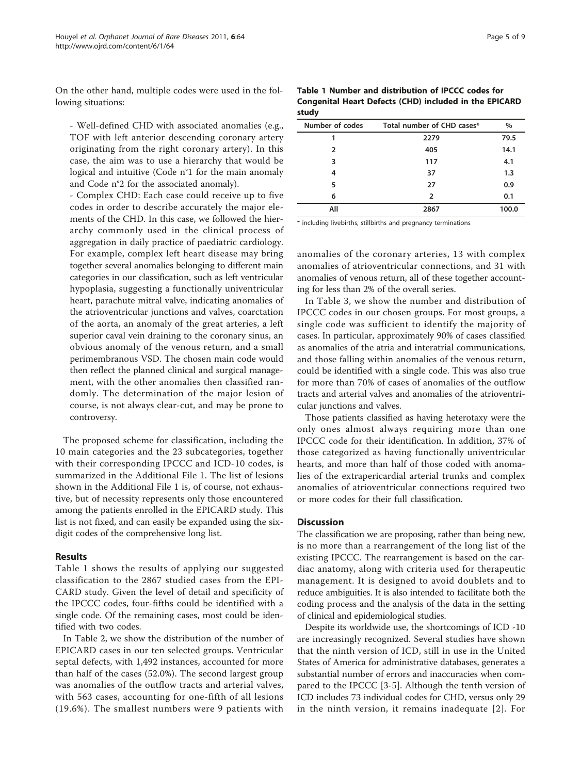On the other hand, multiple codes were used in the following situations:

- Well-defined CHD with associated anomalies (e.g., TOF with left anterior descending coronary artery originating from the right coronary artery). In this case, the aim was to use a hierarchy that would be logical and intuitive (Code n°1 for the main anomaly and Code n°2 for the associated anomaly).

- Complex CHD: Each case could receive up to five codes in order to describe accurately the major elements of the CHD. In this case, we followed the hierarchy commonly used in the clinical process of aggregation in daily practice of paediatric cardiology. For example, complex left heart disease may bring together several anomalies belonging to different main categories in our classification, such as left ventricular hypoplasia, suggesting a functionally univentricular heart, parachute mitral valve, indicating anomalies of the atrioventricular junctions and valves, coarctation of the aorta, an anomaly of the great arteries, a left superior caval vein draining to the coronary sinus, an obvious anomaly of the venous return, and a small perimembranous VSD. The chosen main code would then reflect the planned clinical and surgical management, with the other anomalies then classified randomly. The determination of the major lesion of course, is not always clear-cut, and may be prone to controversy.

The proposed scheme for classification, including the 10 main categories and the 23 subcategories, together with their corresponding IPCCC and ICD-10 codes, is summarized in the Additional File [1.](#page-7-0) The list of lesions shown in the Additional File [1](#page-7-0) is, of course, not exhaustive, but of necessity represents only those encountered among the patients enrolled in the EPICARD study. This list is not fixed, and can easily be expanded using the sixdigit codes of the comprehensive long list.

#### Results

Table 1 shows the results of applying our suggested classification to the 2867 studied cases from the EPI-CARD study. Given the level of detail and specificity of the IPCCC codes, four-fifths could be identified with a single code. Of the remaining cases, most could be identified with two codes.

In Table [2,](#page-5-0) we show the distribution of the number of EPICARD cases in our ten selected groups. Ventricular septal defects, with 1,492 instances, accounted for more than half of the cases (52.0%). The second largest group was anomalies of the outflow tracts and arterial valves, with 563 cases, accounting for one-fifth of all lesions (19.6%). The smallest numbers were 9 patients with

| Table 1 Number and distribution of IPCCC codes for            |
|---------------------------------------------------------------|
| <b>Congenital Heart Defects (CHD) included in the EPICARD</b> |
| study                                                         |

| Number of codes | Total number of CHD cases* | $\%$  |
|-----------------|----------------------------|-------|
| 1               | 2279                       | 79.5  |
| 2               | 405                        | 14.1  |
| 3               | 117                        | 4.1   |
| 4               | 37                         | 1.3   |
| 5               | 27                         | 0.9   |
| 6               | 2                          | 0.1   |
| All             | 2867                       | 100.0 |

\* including livebirths, stillbirths and pregnancy terminations

anomalies of the coronary arteries, 13 with complex anomalies of atrioventricular connections, and 31 with anomalies of venous return, all of these together accounting for less than 2% of the overall series.

In Table [3,](#page-6-0) we show the number and distribution of IPCCC codes in our chosen groups. For most groups, a single code was sufficient to identify the majority of cases. In particular, approximately 90% of cases classified as anomalies of the atria and interatrial communications, and those falling within anomalies of the venous return, could be identified with a single code. This was also true for more than 70% of cases of anomalies of the outflow tracts and arterial valves and anomalies of the atrioventricular junctions and valves.

Those patients classified as having heterotaxy were the only ones almost always requiring more than one IPCCC code for their identification. In addition, 37% of those categorized as having functionally univentricular hearts, and more than half of those coded with anomalies of the extrapericardial arterial trunks and complex anomalies of atrioventricular connections required two or more codes for their full classification.

#### **Discussion**

The classification we are proposing, rather than being new, is no more than a rearrangement of the long list of the existing IPCCC. The rearrangement is based on the cardiac anatomy, along with criteria used for therapeutic management. It is designed to avoid doublets and to reduce ambiguities. It is also intended to facilitate both the coding process and the analysis of the data in the setting of clinical and epidemiological studies.

Despite its worldwide use, the shortcomings of ICD -10 are increasingly recognized. Several studies have shown that the ninth version of ICD, still in use in the United States of America for administrative databases, generates a substantial number of errors and inaccuracies when compared to the IPCCC [\[3](#page-8-0)-[5\]](#page-8-0). Although the tenth version of ICD includes 73 individual codes for CHD, versus only 29 in the ninth version, it remains inadequate [[2\]](#page-8-0). For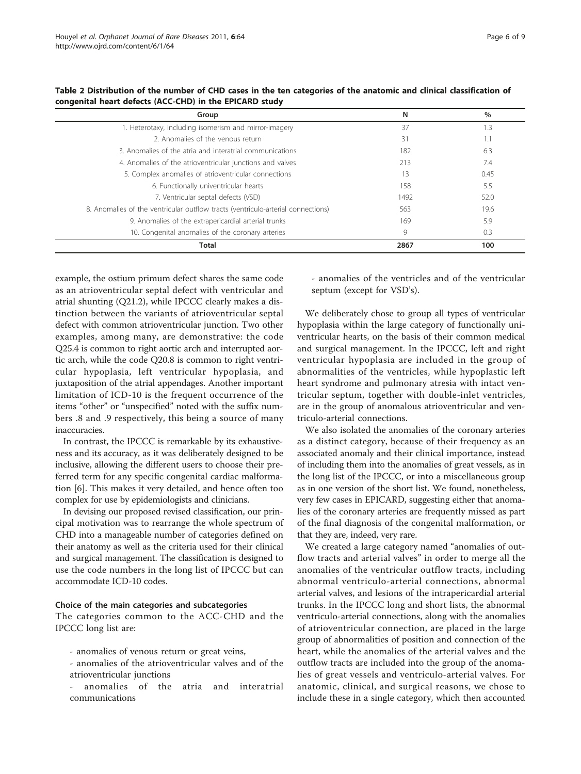| Group                                                                            | N    | $\%$ |
|----------------------------------------------------------------------------------|------|------|
| 1. Heterotaxy, including isomerism and mirror-imagery                            | 37   | 1.3  |
| 2. Anomalies of the venous return                                                | 31   | 1.1  |
| 3. Anomalies of the atria and interatrial communications                         | 182  | 6.3  |
| 4. Anomalies of the atrioventricular junctions and valves                        | 213  | 7.4  |
| 5. Complex anomalies of atrioventricular connections                             | 13   | 0.45 |
| 6. Functionally univentricular hearts                                            | 158  | 5.5  |
| 7. Ventricular septal defects (VSD)                                              | 1492 | 52.0 |
| 8. Anomalies of the ventricular outflow tracts (ventriculo-arterial connections) | 563  | 19.6 |
| 9. Anomalies of the extrapericardial arterial trunks                             | 169  | 5.9  |
| 10. Congenital anomalies of the coronary arteries                                | 9    | 0.3  |
| <b>Total</b>                                                                     | 2867 | 100  |

<span id="page-5-0"></span>Table 2 Distribution of the number of CHD cases in the ten categories of the anatomic and clinical classification of congenital heart defects (ACC-CHD) in the EPICARD study

example, the ostium primum defect shares the same code as an atrioventricular septal defect with ventricular and atrial shunting (Q21.2), while IPCCC clearly makes a distinction between the variants of atrioventricular septal defect with common atrioventricular junction. Two other examples, among many, are demonstrative: the code Q25.4 is common to right aortic arch and interrupted aortic arch, while the code Q20.8 is common to right ventricular hypoplasia, left ventricular hypoplasia, and juxtaposition of the atrial appendages. Another important limitation of ICD-10 is the frequent occurrence of the items "other" or "unspecified" noted with the suffix numbers .8 and .9 respectively, this being a source of many inaccuracies.

In contrast, the IPCCC is remarkable by its exhaustiveness and its accuracy, as it was deliberately designed to be inclusive, allowing the different users to choose their preferred term for any specific congenital cardiac malformation [\[6\]](#page-8-0). This makes it very detailed, and hence often too complex for use by epidemiologists and clinicians.

In devising our proposed revised classification, our principal motivation was to rearrange the whole spectrum of CHD into a manageable number of categories defined on their anatomy as well as the criteria used for their clinical and surgical management. The classification is designed to use the code numbers in the long list of IPCCC but can accommodate ICD-10 codes.

#### Choice of the main categories and subcategories

The categories common to the ACC-CHD and the IPCCC long list are:

- anomalies of venous return or great veins,

- anomalies of the atrioventricular valves and of the atrioventricular junctions
- anomalies of the atria and interatrial communications

- anomalies of the ventricles and of the ventricular septum (except for VSD's).

We deliberately chose to group all types of ventricular hypoplasia within the large category of functionally univentricular hearts, on the basis of their common medical and surgical management. In the IPCCC, left and right ventricular hypoplasia are included in the group of abnormalities of the ventricles, while hypoplastic left heart syndrome and pulmonary atresia with intact ventricular septum, together with double-inlet ventricles, are in the group of anomalous atrioventricular and ventriculo-arterial connections.

We also isolated the anomalies of the coronary arteries as a distinct category, because of their frequency as an associated anomaly and their clinical importance, instead of including them into the anomalies of great vessels, as in the long list of the IPCCC, or into a miscellaneous group as in one version of the short list. We found, nonetheless, very few cases in EPICARD, suggesting either that anomalies of the coronary arteries are frequently missed as part of the final diagnosis of the congenital malformation, or that they are, indeed, very rare.

We created a large category named "anomalies of outflow tracts and arterial valves" in order to merge all the anomalies of the ventricular outflow tracts, including abnormal ventriculo-arterial connections, abnormal arterial valves, and lesions of the intrapericardial arterial trunks. In the IPCCC long and short lists, the abnormal ventriculo-arterial connections, along with the anomalies of atrioventricular connection, are placed in the large group of abnormalities of position and connection of the heart, while the anomalies of the arterial valves and the outflow tracts are included into the group of the anomalies of great vessels and ventriculo-arterial valves. For anatomic, clinical, and surgical reasons, we chose to include these in a single category, which then accounted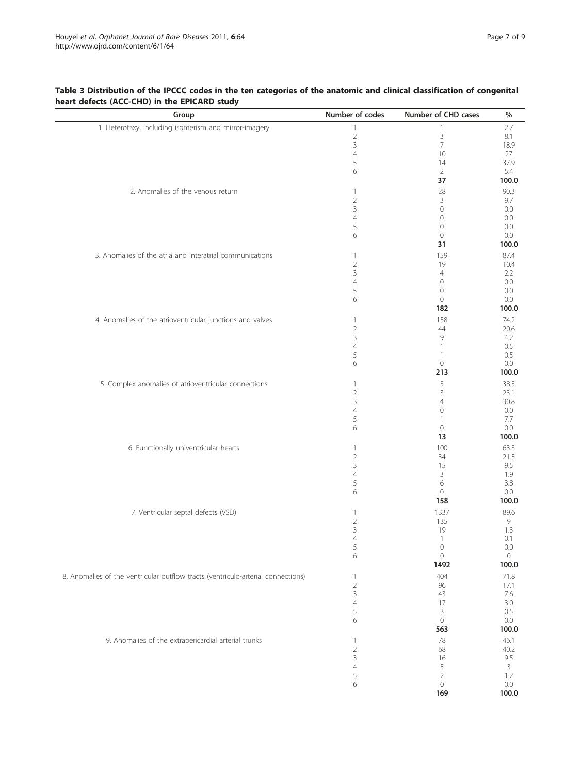| Group                                                                            | Number of codes                | Number of CHD cases | $\%$             |
|----------------------------------------------------------------------------------|--------------------------------|---------------------|------------------|
| 1. Heterotaxy, including isomerism and mirror-imagery                            |                                |                     | 2.7              |
|                                                                                  | $\overline{c}$                 | 3                   | 8.1              |
|                                                                                  | $\overline{3}$                 | $\overline{7}$      | 18.9             |
|                                                                                  | $\overline{4}$                 | 10                  | 27               |
|                                                                                  | 5                              | 14                  | 37.9             |
|                                                                                  | 6                              | $\sqrt{2}$<br>37    | 5.4<br>100.0     |
|                                                                                  |                                |                     |                  |
| 2. Anomalies of the venous return                                                | $\mathbf{1}$                   | 28                  | 90.3             |
|                                                                                  | $\overline{2}$<br>$\mathsf{3}$ | 3<br>0              | 9.7<br>$0.0\,$   |
|                                                                                  | $\overline{4}$                 | $\mathcal O$        | 0.0              |
|                                                                                  | 5                              | 0                   | 0.0              |
|                                                                                  | 6                              | $\mathbb O$         | $0.0\,$          |
|                                                                                  |                                | 31                  | 100.0            |
| 3. Anomalies of the atria and interatrial communications                         | $\mathbb{1}$                   | 159                 | 87.4             |
|                                                                                  | $\overline{2}$                 | 19                  | 10.4             |
|                                                                                  | $\mathsf{3}$                   | 4                   | 2.2              |
|                                                                                  | $\overline{4}$                 | $\mathbf 0$         | 0.0              |
|                                                                                  | 5                              | 0                   | $0.0\,$          |
|                                                                                  | 6                              | 0<br>182            | $0.0\,$<br>100.0 |
|                                                                                  |                                |                     |                  |
| 4. Anomalies of the atrioventricular junctions and valves                        | $\mathbf{1}$                   | 158                 | 74.2             |
|                                                                                  | $\overline{c}$<br>$\mathsf{3}$ | 44<br>9             | 20.6             |
|                                                                                  | $\overline{4}$                 | 1                   | 4.2<br>0.5       |
|                                                                                  | 5                              | 1                   | 0.5              |
|                                                                                  | 6                              | $\circ$             | 0.0              |
|                                                                                  |                                | 213                 | 100.0            |
| 5. Complex anomalies of atrioventricular connections                             | $\mathbf{1}$                   | 5                   | 38.5             |
|                                                                                  | $\overline{c}$                 | 3                   | 23.1             |
|                                                                                  | $\overline{3}$                 | 4                   | 30.8             |
|                                                                                  | $\overline{4}$                 | 0                   | 0.0              |
|                                                                                  | 5                              | 1                   | 7.7              |
|                                                                                  | 6                              | $\mathbf 0$         | 0.0              |
|                                                                                  |                                | 13                  | 100.0            |
| 6. Functionally univentricular hearts                                            | $\mathbf{1}$                   | 100                 | 63.3             |
|                                                                                  | $\overline{2}$                 | 34                  | 21.5             |
|                                                                                  | $\mathsf{3}$<br>$\overline{4}$ | 15                  | 9.5<br>1.9       |
|                                                                                  | 5                              | 3<br>6              | 3.8              |
|                                                                                  | 6                              | 0                   | 0.0              |
|                                                                                  |                                | 158                 | 100.0            |
| 7. Ventricular septal defects (VSD)                                              | 1                              | 1337                | 89.6             |
|                                                                                  |                                | 135                 | 9                |
|                                                                                  | $\frac{2}{3}$                  | 19                  | 1.3              |
|                                                                                  | $\overline{4}$                 | $\mathbf{1}$        | 0.1              |
|                                                                                  | 5                              | $\mathcal O$        | $0.0\,$          |
|                                                                                  | 6                              | 0                   | $\circ$          |
|                                                                                  |                                | 1492                | 100.0            |
| 8. Anomalies of the ventricular outflow tracts (ventriculo-arterial connections) | $\mathbf{1}$                   | 404                 | 71.8             |
|                                                                                  | $\overline{c}$                 | 96                  | 17.1             |
|                                                                                  | $\mathsf 3$                    | 43                  | 7.6              |
|                                                                                  | $\overline{4}$<br>5            | 17<br>3             | 3.0<br>0.5       |
|                                                                                  | 6                              | $\mathbb O$         | 0.0              |
|                                                                                  |                                | 563                 | 100.0            |
| 9. Anomalies of the extrapericardial arterial trunks                             | 1                              | 78                  | 46.1             |
|                                                                                  | $\sqrt{2}$                     | 68                  | 40.2             |
|                                                                                  | $\ensuremath{\mathsf{3}}$      | 16                  | 9.5              |
|                                                                                  | $\overline{4}$                 | 5                   | $\mathbf{3}$     |
|                                                                                  | 5                              | $\overline{c}$      | 1.2              |
|                                                                                  | 6                              | $\mathsf{O}\xspace$ | $0.0\,$          |
|                                                                                  |                                | 169                 | 100.0            |

## <span id="page-6-0"></span>Table 3 Distribution of the IPCCC codes in the ten categories of the anatomic and clinical classification of congenital heart defects (ACC-CHD) in the EPICARD study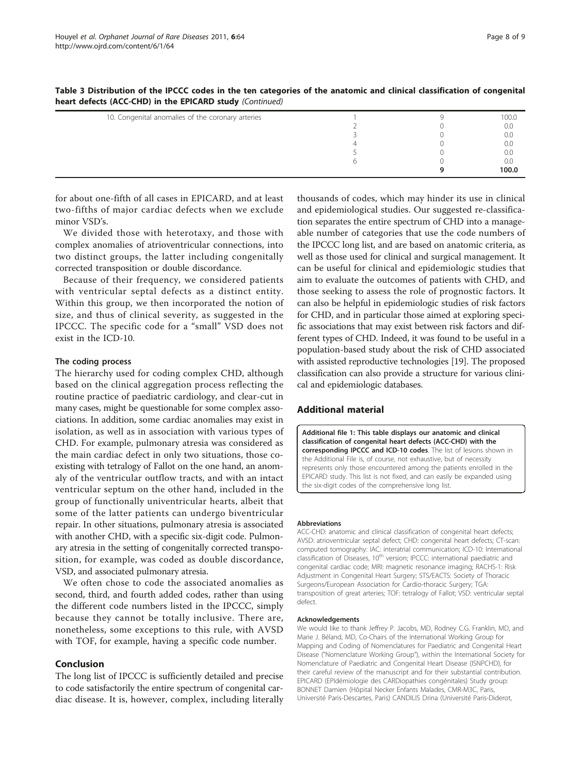| 10. Congenital anomalies of the coronary arteries |  | 100.0 |
|---------------------------------------------------|--|-------|
|                                                   |  | 0.0   |
|                                                   |  | 0.0   |
|                                                   |  | 0.0   |
|                                                   |  | 0.0   |
|                                                   |  | 0.0   |
|                                                   |  | 100.0 |
|                                                   |  |       |

<span id="page-7-0"></span>Table 3 Distribution of the IPCCC codes in the ten categories of the anatomic and clinical classification of congenital heart defects (ACC-CHD) in the EPICARD study (Continued)

for about one-fifth of all cases in EPICARD, and at least two-fifths of major cardiac defects when we exclude minor VSD's.

We divided those with heterotaxy, and those with complex anomalies of atrioventricular connections, into two distinct groups, the latter including congenitally corrected transposition or double discordance.

Because of their frequency, we considered patients with ventricular septal defects as a distinct entity. Within this group, we then incorporated the notion of size, and thus of clinical severity, as suggested in the IPCCC. The specific code for a "small" VSD does not exist in the ICD-10.

## The coding process

The hierarchy used for coding complex CHD, although based on the clinical aggregation process reflecting the routine practice of paediatric cardiology, and clear-cut in many cases, might be questionable for some complex associations. In addition, some cardiac anomalies may exist in isolation, as well as in association with various types of CHD. For example, pulmonary atresia was considered as the main cardiac defect in only two situations, those coexisting with tetralogy of Fallot on the one hand, an anomaly of the ventricular outflow tracts, and with an intact ventricular septum on the other hand, included in the group of functionally univentricular hearts, albeit that some of the latter patients can undergo biventricular repair. In other situations, pulmonary atresia is associated with another CHD, with a specific six-digit code. Pulmonary atresia in the setting of congenitally corrected transposition, for example, was coded as double discordance, VSD, and associated pulmonary atresia.

We often chose to code the associated anomalies as second, third, and fourth added codes, rather than using the different code numbers listed in the IPCCC, simply because they cannot be totally inclusive. There are, nonetheless, some exceptions to this rule, with AVSD with TOF, for example, having a specific code number.

## Conclusion

The long list of IPCCC is sufficiently detailed and precise to code satisfactorily the entire spectrum of congenital cardiac disease. It is, however, complex, including literally

thousands of codes, which may hinder its use in clinical and epidemiological studies. Our suggested re-classification separates the entire spectrum of CHD into a manageable number of categories that use the code numbers of the IPCCC long list, and are based on anatomic criteria, as well as those used for clinical and surgical management. It can be useful for clinical and epidemiologic studies that aim to evaluate the outcomes of patients with CHD, and those seeking to assess the role of prognostic factors. It can also be helpful in epidemiologic studies of risk factors for CHD, and in particular those aimed at exploring specific associations that may exist between risk factors and different types of CHD. Indeed, it was found to be useful in a population-based study about the risk of CHD associated with assisted reproductive technologies [[19](#page-8-0)]. The proposed classification can also provide a structure for various clinical and epidemiologic databases.

## Additional material

[Additional file 1: T](http://www.biomedcentral.com/content/supplementary/1750-1172-6-64-S1.DOC)his table displays our anatomic and clinical classification of congenital heart defects (ACC-CHD) with the corresponding IPCCC and ICD-10 codes. The list of lesions shown in the Additional File is, of course, not exhaustive, but of necessity represents only those encountered among the patients enrolled in the EPICARD study. This list is not fixed, and can easily be expanded using the six-digit codes of the comprehensive long list.

#### Abbreviations

ACC-CHD: anatomic and clinical classification of congenital heart defects; AVSD: atrioventricular septal defect; CHD: congenital heart defects; CT-scan: computed tomography: IAC: interatrial communication; ICD-10: International classification of Diseases, 10<sup>th</sup> version; IPCCC: international paediatric and congenital cardiac code; MRI: magnetic resonance imaging; RACHS-1: Risk Adjustment in Congenital Heart Surgery; STS/EACTS: Society of Thoracic Surgeons/European Association for Cardio-thoracic Surgery; TGA: transposition of great arteries; TOF: tetralogy of Fallot; VSD: ventricular septal defect.

#### Acknowledgements

We would like to thank Jeffrey P. Jacobs, MD, Rodney C.G. Franklin, MD, and Marie J. Béland, MD, Co-Chairs of the International Working Group for Mapping and Coding of Nomenclatures for Paediatric and Congenital Heart Disease ("Nomenclature Working Group"), within the International Society for Nomenclature of Paediatric and Congenital Heart Disease (ISNPCHD), for their careful review of the manuscript and for their substantial contribution. EPICARD (EPIdémiologie des CARDiopathies congénitales) Study group: BONNET Damien (Hôpital Necker Enfants Malades, CMR-M3C, Paris, Université Paris-Descartes, Paris) CANDILIS Drina (Université Paris-Diderot,